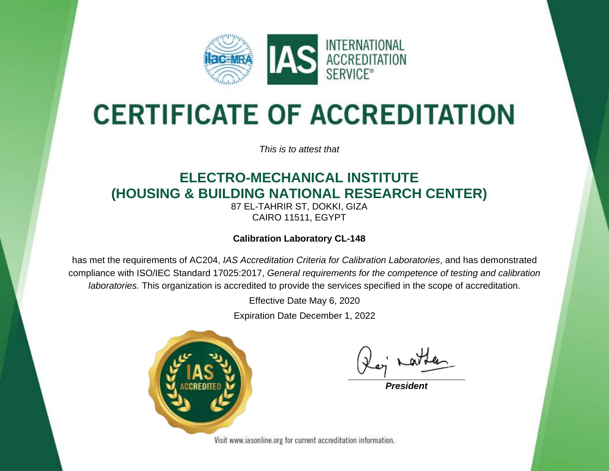

# **CERTIFICATE OF ACCREDITATION**

*This is to attest that*

## **ELECTRO-MECHANICAL INSTITUTE (HOUSING & BUILDING NATIONAL RESEARCH CENTER)**

87 EL-TAHRIR ST, DOKKI, GIZA CAIRO 11511, EGYPT

#### **Calibration Laboratory CL-148**

has met the requirements of AC204, *IAS Accreditation Criteria for Calibration Laboratories*, and has demonstrated compliance with ISO/IEC Standard 17025:2017, *General requirements for the competence of testing and calibration laboratories.* This organization is accredited to provide the services specified in the scope of accreditation.

Effective Date May 6, 2020

Expiration Date December 1, 2022



*President*

Visit www.iasonline.org for current accreditation information.